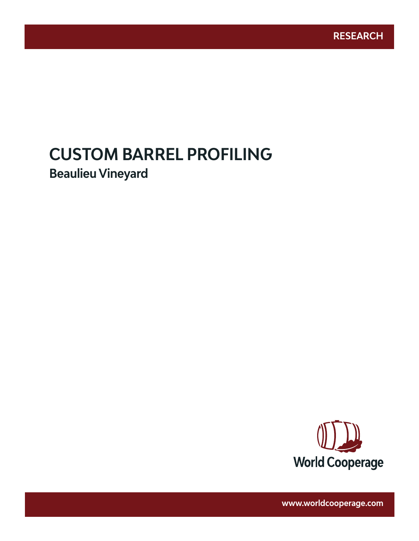# **CUSTOM BARREL PROFILING**

www.worldcooperage.com *Custom Barrel Profiling: Beaulieu Vineyard* **1** 

**Beaulieu Vineyard**



**www.worldcooperage.com**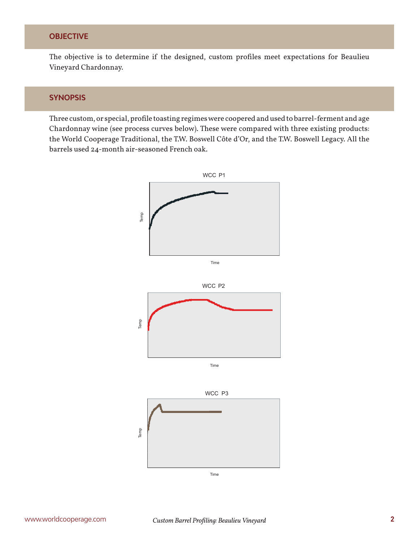#### **OBJECTIVE**

The objective is to determine if the designed, custom profiles meet expectations for Beaulieu Vineyard Chardonnay.

#### **SYNOPSIS**

Three custom, or special, profile toasting regimes were coopered and used to barrel-ferment and age Chardonnay wine (see process curves below). These were compared with three existing products: the World Cooperage Traditional, the T.W. Boswell Côte d'Or, and the T.W. Boswell Legacy. All the barrels used 24-month air-seasoned French oak.

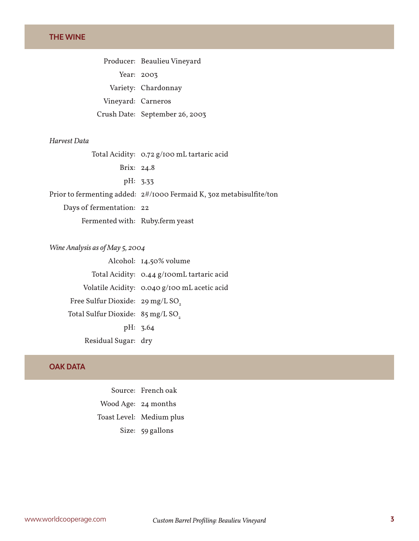#### **THE WINE**

Producer: Beaulieu Vineyard Year: 2003 Variety: Chardonnay Vineyard: Carneros Crush Date: September 26, 2003

#### *Harvest Data*

Total Acidity: 0.72 g/100 mL tartaric acid Brix: 24.8 pH: 3.33 Prior to fermenting added: 2#/1000 Fermaid K, 3oz metabisulfite/ton Days of fermentation: 22

Fermented with: Ruby.ferm yeast

*Wine Analysis as of May 5, 2004* Alcohol: 14.50% volume Total Acidity: 0.44 g/100mL tartaric acid Volatile Acidity: 0.040 g/100 mL acetic acid Free Sulfur Dioxide:  $29 \text{ mg/L SO}$ Total Sulfur Dioxide: 85 mg/L SO<sub>2</sub> pH: 3.64 Residual Sugar: dry

#### **OAK DATA**

Source: French oak Wood Age: 24 months Toast Level: Medium plus Size: 59 gallons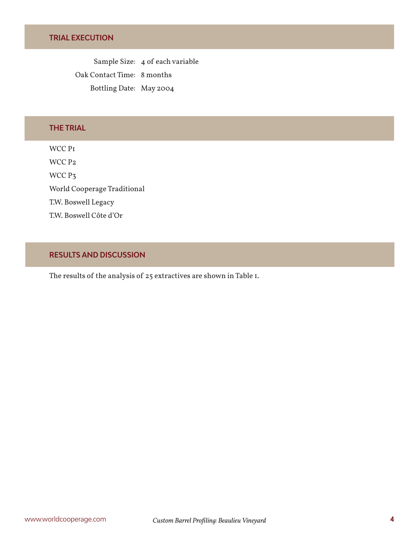Sample Size: 4 of each variable Oak Contact Time: 8 months Bottling Date: May 2004

# **THE TRIAL**

WCC P1 WCC P2 WCC P<sub>3</sub> World Cooperage Traditional T.W. Boswell Legacy T.W. Boswell Côte d'Or

### **RESULTS AND DISCUSSION**

The results of the analysis of 25 extractives are shown in Table 1.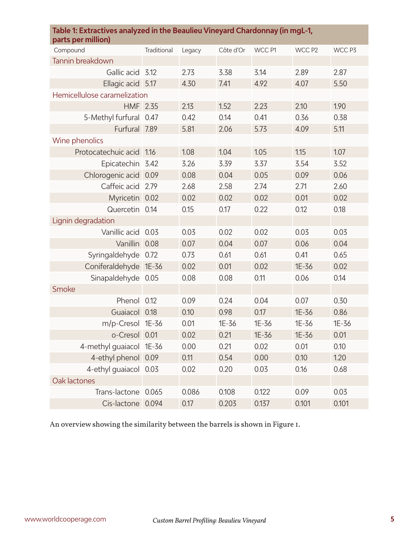| Table 1: Extractives analyzed in the Beaulieu Vineyard Chardonnay (in mgL-1,<br>parts per million) |             |        |           |        |        |        |  |  |
|----------------------------------------------------------------------------------------------------|-------------|--------|-----------|--------|--------|--------|--|--|
| Compound                                                                                           | Traditional | Legacy | Côte d'Or | WCC P1 | WCC P2 | WCC P3 |  |  |
| Tannin breakdown                                                                                   |             |        |           |        |        |        |  |  |
| Gallic acid                                                                                        | 3.12        | 2.73   | 3.38      | 3.14   | 2.89   | 2.87   |  |  |
| Ellagic acid 5.17                                                                                  |             | 4.30   | 7.41      | 4.92   | 4.07   | 5.50   |  |  |
| Hemicellulose caramelization                                                                       |             |        |           |        |        |        |  |  |
| HMF 2.35                                                                                           |             | 2.13   | 1.52      | 2.23   | 2.10   | 1.90   |  |  |
| 5-Methyl furfural 0.47                                                                             |             | 0.42   | 0.14      | 0.41   | 0.36   | 0.38   |  |  |
| Furfural 7.89                                                                                      |             | 5.81   | 2.06      | 5.73   | 4.09   | 5.11   |  |  |
| Wine phenolics                                                                                     |             |        |           |        |        |        |  |  |
| Protocatechuic acid                                                                                | 1.16        | 1.08   | 1.04      | 1.05   | 1.15   | 1.07   |  |  |
| Epicatechin 3.42                                                                                   |             | 3.26   | 3.39      | 3.37   | 3.54   | 3.52   |  |  |
| Chlorogenic acid                                                                                   | 0.09        | 0.08   | 0.04      | 0.05   | 0.09   | 0.06   |  |  |
| Caffeic acid                                                                                       | 2.79        | 2.68   | 2.58      | 2.74   | 2.71   | 2.60   |  |  |
| Myricetin 0.02                                                                                     |             | 0.02   | 0.02      | 0.02   | 0.01   | 0.02   |  |  |
| Quercetin 0.14                                                                                     |             | 0.15   | 0.17      | 0.22   | 0.12   | 0.18   |  |  |
| Lignin degradation                                                                                 |             |        |           |        |        |        |  |  |
| Vanillic acid 0.03                                                                                 |             | 0.03   | 0.02      | 0.02   | 0.03   | 0.03   |  |  |
| Vanillin 0.08                                                                                      |             | 0.07   | 0.04      | 0.07   | 0.06   | 0.04   |  |  |
| Syringaldehyde                                                                                     | 0.72        | 0.73   | 0.61      | 0.61   | 0.41   | 0.65   |  |  |
| Coniferaldehyde 1E-36                                                                              |             | 0.02   | 0.01      | 0.02   | 1E-36  | 0.02   |  |  |
| Sinapaldehyde 0.05                                                                                 |             | 0.08   | 0.08      | 0.11   | 0.06   | 0.14   |  |  |
| Smoke                                                                                              |             |        |           |        |        |        |  |  |
| Phenol                                                                                             | 0.12        | 0.09   | 0.24      | 0.04   | 0.07   | 0.30   |  |  |
| Guaiacol 0.18                                                                                      |             | 0.10   | 0.98      | 0.17   | 1E-36  | 0.86   |  |  |
| m/p-Cresol 1E-36                                                                                   |             | 0.01   | 1E-36     | 1E-36  | 1E-36  | 1E-36  |  |  |
| o-Cresol 0.01                                                                                      |             | 0.02   | 0.21      | 1E-36  | 1E-36  | 0.01   |  |  |
| 4-methyl guaiacol 1E-36                                                                            |             | 0.00   | 0.21      | 0.02   | 0.01   | 0.10   |  |  |
| 4-ethyl phenol 0.09                                                                                |             | 0.11   | 0.54      | 0.00   | 0.10   | 1.20   |  |  |
| 4-ethyl guaiacol 0.03                                                                              |             | 0.02   | 0.20      | 0.03   | 0.16   | 0.68   |  |  |
| Oak lactones                                                                                       |             |        |           |        |        |        |  |  |
| Trans-lactone 0.065                                                                                |             | 0.086  | 0.108     | 0.122  | 0.09   | 0.03   |  |  |
| Cis-lactone 0.094                                                                                  |             | 0.17   | 0.203     | 0.137  | 0.101  | 0.101  |  |  |

An overview showing the similarity between the barrels is shown in Figure 1.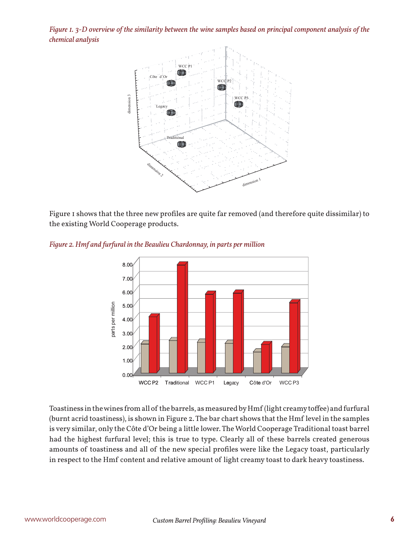*Figure 1. 3-D overview of the similarity between the wine samples based on principal component analysis of the chemical analysis*



Figure 1 shows that the three new profiles are quite far removed (and therefore quite dissimilar) to the existing World Cooperage products.



*Figure 2. Hmf and furfural in the Beaulieu Chardonnay, in parts per million*

Toastiness in the wines from all of the barrels, as measured by Hmf (light creamy toffee) and furfural (burnt acrid toastiness), is shown in Figure 2. The bar chart shows that the Hmf level in the samples is very similar, only the Côte d'Or being a little lower. The World Cooperage Traditional toast barrel had the highest furfural level; this is true to type. Clearly all of these barrels created generous amounts of toastiness and all of the new special profiles were like the Legacy toast, particularly in respect to the Hmf content and relative amount of light creamy toast to dark heavy toastiness.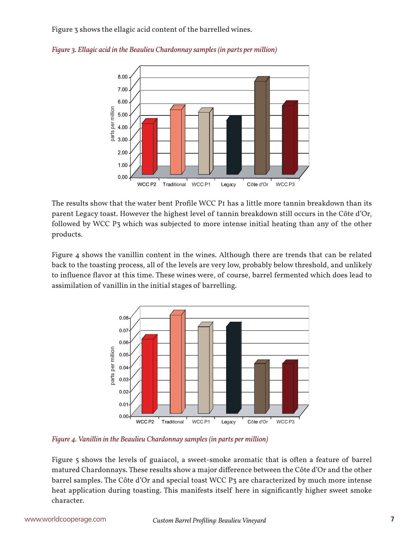Figure 3 shows the ellagic acid content of the barrelled wines.



*Figure 3. Ellagic acid in the Beaulieu Chardonnay samples (in parts per million)*

The results show that the water bent Profile WCC PI has a little more tannin breakdown than its parent Legacy toast. However the highest level of tannin breakdown still occurs in the Côte d'Or, followed by WCC P3 which was subjected to more intense initial heating than any of the other products.

Figure 4 shows the vanillin content in the wines. Although there are trends that can be related back to the toasting process, all of the levels are very low, probably below threshold, and unlikely to influence flavor at this time. These wines were, of course, barrel fermented which does lead to assimilation of vanillin in the initial stages of barrelling.



*Figure 4. Vanillin in the Beaulieu Chardonnay samples (in parts per million)*

Figure 5 shows the levels of guaiacol, a sweet-smoke aromatic that is often a feature of barrel matured Chardonnays. These results show a major difference between the Côte d'Or and the other barrel samples. The Côte d'Or and special toast WCC P3 are characterized by much more intense heat application during toasting. This manifests itself here in significantly higher sweet smoke character.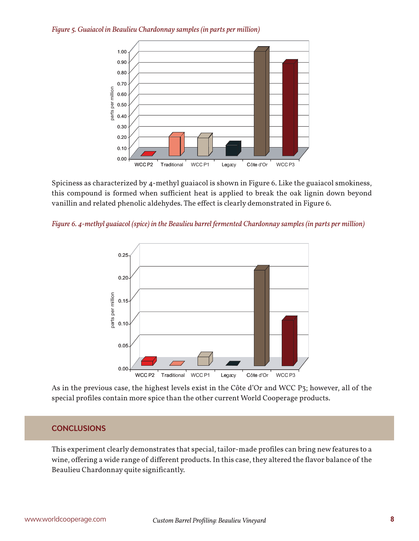*Figure 5. Guaiacol in Beaulieu Chardonnay samples (in parts per million)*



Spiciness as characterized by 4-methyl guaiacol is shown in Figure 6. Like the guaiacol smokiness, this compound is formed when sufficient heat is applied to break the oak lignin down beyond vanillin and related phenolic aldehydes. The effect is clearly demonstrated in Figure 6.





As in the previous case, the highest levels exist in the Côte d'Or and WCC P3; however, all of the special profiles contain more spice than the other current World Cooperage products.

# **CONCLUSIONS**

This experiment clearly demonstrates that special, tailor-made profiles can bring new features to a wine, offering a wide range of different products. In this case, they altered the flavor balance of the Beaulieu Chardonnay quite significantly.